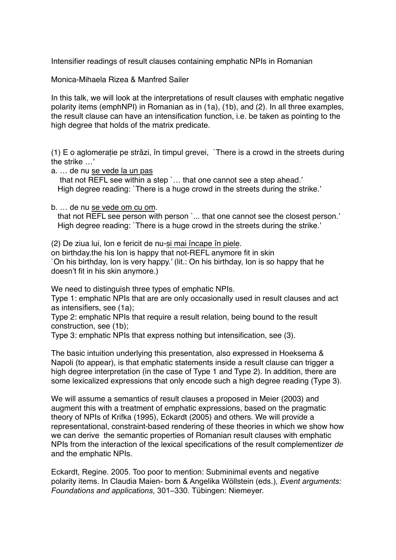Intensifier readings of result clauses containing emphatic NPIs in Romanian

Monica-Mihaela Rizea & Manfred Sailer

In this talk, we will look at the interpretations of result clauses with emphatic negative polarity items (emphNPI) in Romanian as in (1a), (1b), and (2). In all three examples, the result clause can have an intensification function, i.e. be taken as pointing to the high degree that holds of the matrix predicate.

(1) E o aglomerație pe străzi, în timpul grevei, `There is a crowd in the streets during the strike …'

a. … de nu se vede la un pas that not REFL see within a step `… that one cannot see a step ahead.' High degree reading: `There is a huge crowd in the streets during the strike.'

b. … de nu se vede om cu om.

that not REFL see person with person `... that one cannot see the closest person.' High degree reading: `There is a huge crowd in the streets during the strike.'

(2) De ziua lui, Ion e fericit de nu-și mai încape în piele.

on birthday.the his Ion is happy that not-REFL anymore fit in skin `On his birthday, Ion is very happy.' (lit.: On his birthday, Ion is so happy that he doesn't fit in his skin anymore.)

We need to distinguish three types of emphatic NPIs.

Type 1: emphatic NPIs that are are only occasionally used in result clauses and act as intensifiers, see (1a);

Type 2: emphatic NPIs that require a result relation, being bound to the result construction, see (1b);

Type 3: emphatic NPIs that express nothing but intensification, see (3).

The basic intuition underlying this presentation, also expressed in Hoeksema & Napoli (to appear), is that emphatic statements inside a result clause can trigger a high degree interpretation (in the case of Type 1 and Type 2). In addition, there are some lexicalized expressions that only encode such a high degree reading (Type 3).

We will assume a semantics of result clauses a proposed in Meier (2003) and augment this with a treatment of emphatic expressions, based on the pragmatic theory of NPIs of Krifka (1995), Eckardt (2005) and others. We will provide a representational, constraint-based rendering of these theories in which we show how we can derive the semantic properties of Romanian result clauses with emphatic NPIs from the interaction of the lexical specifications of the result complementizer *de* and the emphatic NPIs.

Eckardt, Regine. 2005. Too poor to mention: Subminimal events and negative polarity items. In Claudia Maien- born & Angelika Wöllstein (eds.), *Event arguments: Foundations and applications*, 301–330. Tübingen: Niemeyer.